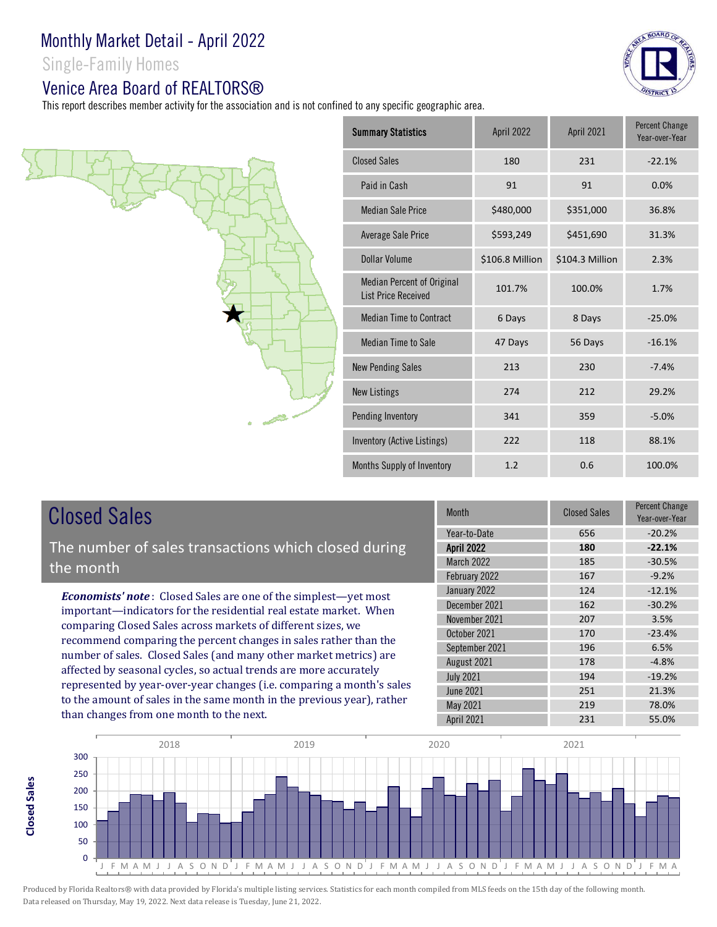Single-Family Homes

## Venice Area Board of REALTORS®

This report describes member activity for the association and is not confined to any specific geographic area.



| <b>Summary Statistics</b>                                | April 2022      | April 2021      | <b>Percent Change</b><br>Year-over-Year |
|----------------------------------------------------------|-----------------|-----------------|-----------------------------------------|
| <b>Closed Sales</b>                                      | 180             | 231             | $-22.1%$                                |
| Paid in Cash                                             | 91              | 91              | 0.0%                                    |
| <b>Median Sale Price</b>                                 | \$480,000       | \$351,000       | 36.8%                                   |
| Average Sale Price                                       | \$593,249       | \$451,690       | 31.3%                                   |
| <b>Dollar Volume</b>                                     | \$106.8 Million | \$104.3 Million | 2.3%                                    |
| Median Percent of Original<br><b>List Price Received</b> | 101.7%          | 100.0%          | 1.7%                                    |
| <b>Median Time to Contract</b>                           | 6 Days          | 8 Days          | $-25.0%$                                |
| Median Time to Sale                                      | 47 Days         | 56 Days         | $-16.1%$                                |
| <b>New Pending Sales</b>                                 | 213             | 230             | $-7.4%$                                 |
| <b>New Listings</b>                                      | 274             | 212             | 29.2%                                   |
| Pending Inventory                                        | 341             | 359             | $-5.0%$                                 |
| Inventory (Active Listings)                              | 222             | 118             | 88.1%                                   |
| Months Supply of Inventory                               | 1.2             | 0.6             | 100.0%                                  |

# Closed Sales

**Closed Sales**

**Closed Sales** 

The number of sales transactions which closed during the month

*Economists' note* : Closed Sales are one of the simplest—yet most important—indicators for the residential real estate market. When comparing Closed Sales across markets of different sizes, we recommend comparing the percent changes in sales rather than the number of sales. Closed Sales (and many other market metrics) are affected by seasonal cycles, so actual trends are more accurately represented by year-over-year changes (i.e. comparing a month's sales to the amount of sales in the same month in the previous year), rather than changes from one month to the next.

| Month             | <b>Closed Sales</b> | <b>Percent Change</b><br>Year-over-Year |
|-------------------|---------------------|-----------------------------------------|
| Year-to-Date      | 656                 | $-20.2%$                                |
| <b>April 2022</b> | 180                 | $-22.1%$                                |
| <b>March 2022</b> | 185                 | $-30.5%$                                |
| February 2022     | 167                 | $-9.2%$                                 |
| January 2022      | 124                 | $-12.1%$                                |
| December 2021     | 162                 | $-30.2%$                                |
| November 2021     | 207                 | 3.5%                                    |
| October 2021      | 170                 | $-23.4%$                                |
| September 2021    | 196                 | 6.5%                                    |
| August 2021       | 178                 | $-4.8%$                                 |
| <b>July 2021</b>  | 194                 | $-19.2%$                                |
| <b>June 2021</b>  | 251                 | 21.3%                                   |
| May 2021          | 219                 | 78.0%                                   |
| April 2021        | 231                 | 55.0%                                   |

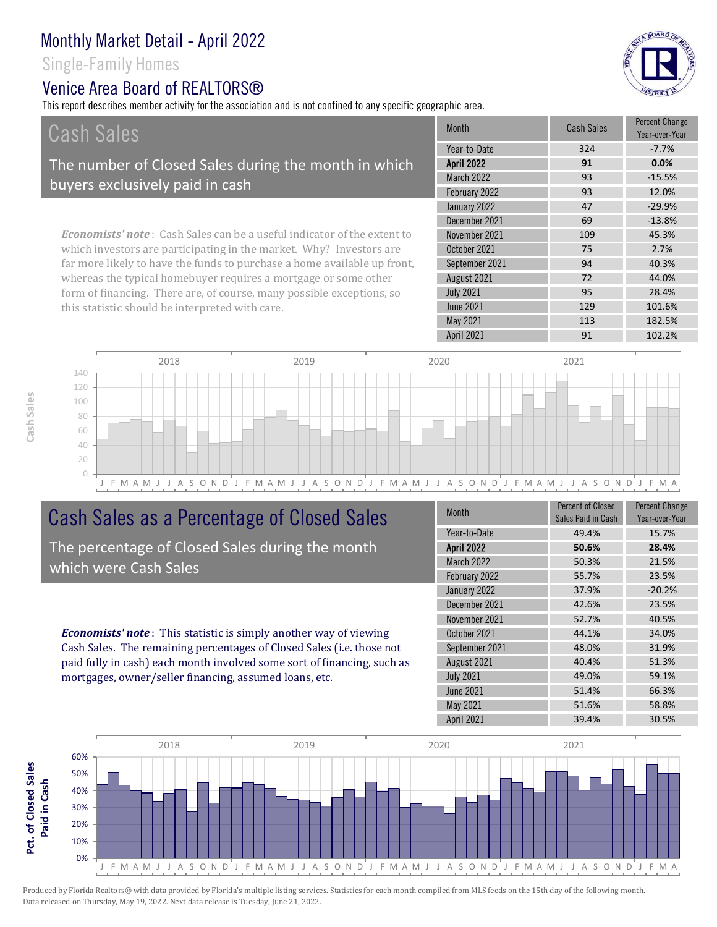Single-Family Homes

## Venice Area Board of REALTORS®

This report describes member activity for the association and is not confined to any specific geographic area.





# Cash Sales as a Percentage of Closed Sales

The percentage of Closed Sales during the month which were Cash Sales

*Economists' note* : This statistic is simply another way of viewing Cash Sales. The remaining percentages of Closed Sales (i.e. those not paid fully in cash) each month involved some sort of financing, such as mortgages, owner/seller financing, assumed loans, etc.

| <b>Month</b>      | <b>Percent of Closed</b><br>Sales Paid in Cash | <b>Percent Change</b><br>Year-over-Year |
|-------------------|------------------------------------------------|-----------------------------------------|
| Year-to-Date      | 49.4%                                          | 15.7%                                   |
| <b>April 2022</b> | 50.6%                                          | 28.4%                                   |
| March 2022        | 50.3%                                          | 21.5%                                   |
| February 2022     | 55.7%                                          | 23.5%                                   |
| January 2022      | 37.9%                                          | $-20.2%$                                |
| December 2021     | 42.6%                                          | 23.5%                                   |
| November 2021     | 52.7%                                          | 40.5%                                   |
| October 2021      | 44.1%                                          | 34.0%                                   |
| September 2021    | 48.0%                                          | 31.9%                                   |
| August 2021       | 40.4%                                          | 51.3%                                   |
| <b>July 2021</b>  | 49.0%                                          | 59.1%                                   |
| <b>June 2021</b>  | 51.4%                                          | 66.3%                                   |
| May 2021          | 51.6%                                          | 58.8%                                   |
| April 2021        | 39.4%                                          | 30.5%                                   |

May 2021 113 182.5%



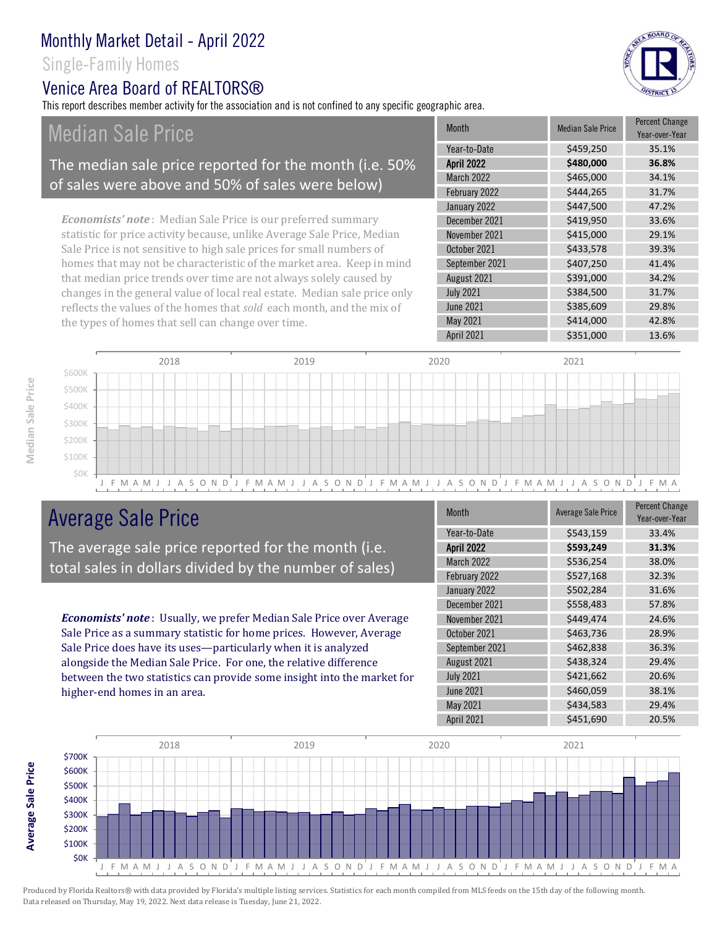Single-Family Homes

### Venice Area Board of REALTORS®

This report describes member activity for the association and is not confined to any specific geographic area.

Median Sale Price

### The median sale price reported for the month (i.e. 50% of sales were above and 50% of sales were below)

*Economists' note* : Median Sale Price is our preferred summary statistic for price activity because, unlike Average Sale Price, Median Sale Price is not sensitive to high sale prices for small numbers of homes that may not be characteristic of the market area. Keep in mind that median price trends over time are not always solely caused by changes in the general value of local real estate. Median sale price only reflects the values of the homes that *sold* each month, and the mix of the types of homes that sell can change over time.

| <b>Month</b>      | <b>Median Sale Price</b> | <b>Percent Change</b><br>Year-over-Year |
|-------------------|--------------------------|-----------------------------------------|
| Year-to-Date      | \$459,250                | 35.1%                                   |
| <b>April 2022</b> | \$480,000                | 36.8%                                   |
| March 2022        | \$465,000                | 34.1%                                   |
| February 2022     | \$444,265                | 31.7%                                   |
| January 2022      | \$447,500                | 47.2%                                   |
| December 2021     | \$419,950                | 33.6%                                   |
| November 2021     | \$415,000                | 29.1%                                   |
| October 2021      | \$433,578                | 39.3%                                   |
| September 2021    | \$407,250                | 41.4%                                   |
| August 2021       | \$391,000                | 34.2%                                   |
| <b>July 2021</b>  | \$384,500                | 31.7%                                   |
| <b>June 2021</b>  | \$385,609                | 29.8%                                   |
| May 2021          | \$414,000                | 42.8%                                   |
| April 2021        | \$351,000                | 13.6%                                   |
|                   |                          |                                         |



# Average Sale Price

The average sale price reported for the month (i.e. total sales in dollars divided by the number of sales)

*Economists' note* : Usually, we prefer Median Sale Price over Average Sale Price as a summary statistic for home prices. However, Average Sale Price does have its uses—particularly when it is analyzed alongside the Median Sale Price. For one, the relative difference between the two statistics can provide some insight into the market for higher-end homes in an area.

| <b>Month</b>      | <b>Average Sale Price</b> | <b>Percent Change</b><br>Year-over-Year |
|-------------------|---------------------------|-----------------------------------------|
| Year-to-Date      | \$543,159                 | 33.4%                                   |
| <b>April 2022</b> | \$593,249                 | 31.3%                                   |
| March 2022        | \$536,254                 | 38.0%                                   |
| February 2022     | \$527,168                 | 32.3%                                   |
| January 2022      | \$502,284                 | 31.6%                                   |
| December 2021     | \$558,483                 | 57.8%                                   |
| November 2021     | \$449,474                 | 24.6%                                   |
| October 2021      | \$463,736                 | 28.9%                                   |
| September 2021    | \$462,838                 | 36.3%                                   |
| August 2021       | \$438,324                 | 29.4%                                   |
| <b>July 2021</b>  | \$421,662                 | 20.6%                                   |
| <b>June 2021</b>  | \$460,059                 | 38.1%                                   |
| <b>May 2021</b>   | \$434,583                 | 29.4%                                   |
| April 2021        | \$451,690                 | 20.5%                                   |



Median Sale Price

**Average Sale Price**

Average Sale Price

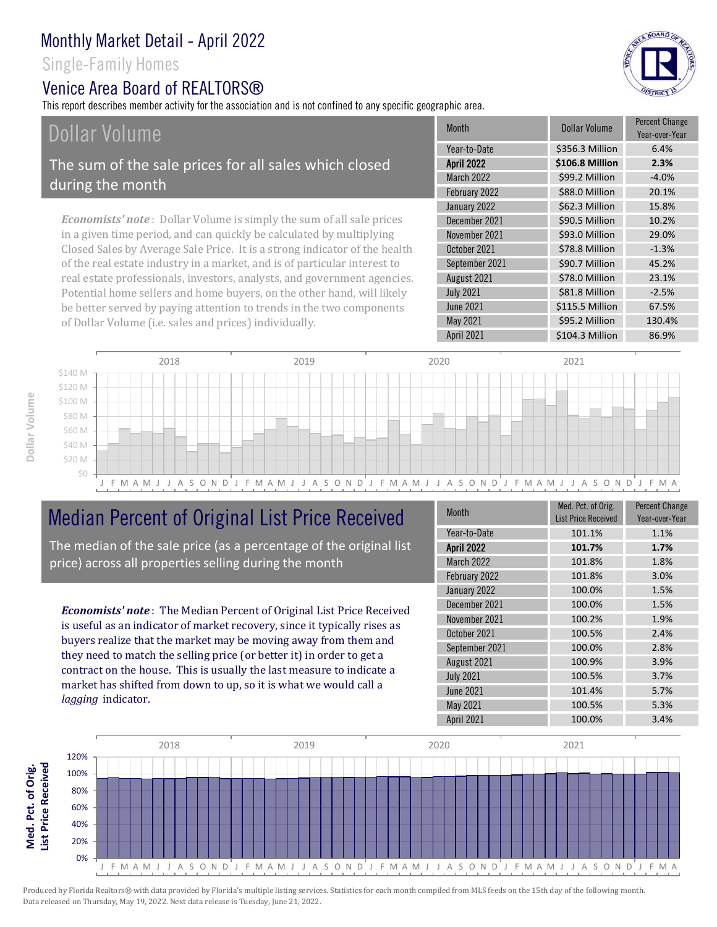Single-Family Homes

### Venice Area Board of REALTORS®

This report describes member activity for the association and is not confined to any specific geographic area.

# Dollar Volume

The sum of the sale prices for all sales which closed during the month

*Economists' note* : Dollar Volume is simply the sum of all sale prices in a given time period, and can quickly be calculated by multiplying Closed Sales by Average Sale Price. It is a strong indicator of the health of the real estate industry in a market, and is of particular interest to real estate professionals, investors, analysts, and government agencies. Potential home sellers and home buyers, on the other hand, will likely be better served by paying attention to trends in the two components of Dollar Volume (i.e. sales and prices) individually.

| <b>Month</b>      | Dollar Volume   | <b>Percent Change</b><br>Year-over-Year |
|-------------------|-----------------|-----------------------------------------|
| Year-to-Date      | \$356.3 Million | 6.4%                                    |
| <b>April 2022</b> | \$106.8 Million | 2.3%                                    |
| <b>March 2022</b> | \$99.2 Million  | $-4.0%$                                 |
| February 2022     | \$88.0 Million  | 20.1%                                   |
| January 2022      | \$62.3 Million  | 15.8%                                   |
| December 2021     | \$90.5 Million  | 10.2%                                   |
| November 2021     | \$93.0 Million  | 29.0%                                   |
| October 2021      | \$78.8 Million  | $-1.3%$                                 |
| September 2021    | \$90.7 Million  | 45.2%                                   |
| August 2021       | \$78.0 Million  | 23.1%                                   |
| <b>July 2021</b>  | \$81.8 Million  | $-2.5%$                                 |
| <b>June 2021</b>  | \$115.5 Million | 67.5%                                   |
| May 2021          | \$95.2 Million  | 130.4%                                  |
| April 2021        | \$104.3 Million | 86.9%                                   |
|                   |                 |                                         |



## Median Percent of Original List Price Received

The median of the sale price (as a percentage of the original list price) across all properties selling during the month

*Economists' note* : The Median Percent of Original List Price Received is useful as an indicator of market recovery, since it typically rises as buyers realize that the market may be moving away from them and they need to match the selling price (or better it) in order to get a contract on the house. This is usually the last measure to indicate a market has shifted from down to up, so it is what we would call a *lagging* indicator.

| <b>Month</b>      | Med. Pct. of Orig.<br><b>List Price Received</b> | <b>Percent Change</b><br>Year-over-Year |
|-------------------|--------------------------------------------------|-----------------------------------------|
| Year-to-Date      | 101.1%                                           | 1.1%                                    |
| <b>April 2022</b> | 101.7%                                           | 1.7%                                    |
| <b>March 2022</b> | 101.8%                                           | 1.8%                                    |
| February 2022     | 101.8%                                           | 3.0%                                    |
| January 2022      | 100.0%                                           | 1.5%                                    |
| December 2021     | 100.0%                                           | 1.5%                                    |
| November 2021     | 100.2%                                           | 1.9%                                    |
| October 2021      | 100.5%                                           | 2.4%                                    |
| September 2021    | 100.0%                                           | 2.8%                                    |
| August 2021       | 100.9%                                           | 3.9%                                    |
| <b>July 2021</b>  | 100.5%                                           | 3.7%                                    |
| <b>June 2021</b>  | 101.4%                                           | 5.7%                                    |
| May 2021          | 100.5%                                           | 5.3%                                    |
| April 2021        | 100.0%                                           | 3.4%                                    |



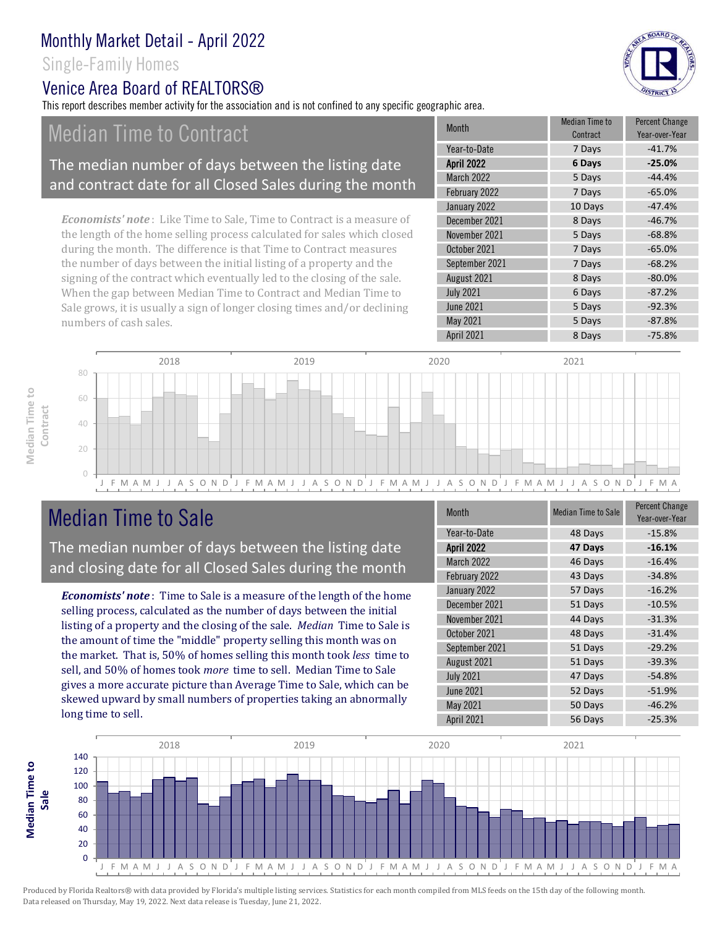### Single-Family Homes

### Venice Area Board of REALTORS®

This report describes member activity for the association and is not confined to any specific geographic area.

## Median Time to Contract

#### The median number of days between the listing date and contract date for all Closed Sales during the month

*Economists' note* : Like Time to Sale, Time to Contract is a measure of the length of the home selling process calculated for sales which closed during the month. The difference is that Time to Contract measures the number of days between the initial listing of a property and the signing of the contract which eventually led to the closing of the sale. When the gap between Median Time to Contract and Median Time to Sale grows, it is usually a sign of longer closing times and/or declining numbers of cash sales.

| <b>Month</b>      | Median Time to<br>Contract | <b>Percent Change</b><br>Year-over-Year |
|-------------------|----------------------------|-----------------------------------------|
| Year-to-Date      | 7 Days                     | $-41.7%$                                |
| <b>April 2022</b> | 6 Days                     | $-25.0%$                                |
| <b>March 2022</b> | 5 Days                     | $-44.4%$                                |
| February 2022     | 7 Days                     | $-65.0%$                                |
| January 2022      | 10 Days                    | $-47.4%$                                |
| December 2021     | 8 Days                     | $-46.7%$                                |
| November 2021     | 5 Days                     | $-68.8%$                                |
| October 2021      | 7 Days                     | $-65.0%$                                |
| September 2021    | 7 Days                     | $-68.2%$                                |
| August 2021       | 8 Days                     | $-80.0%$                                |
| <b>July 2021</b>  | 6 Days                     | $-87.2%$                                |
| <b>June 2021</b>  | 5 Days                     | $-92.3%$                                |
| May 2021          | 5 Days                     | $-87.8%$                                |
| <b>April 2021</b> | 8 Days                     | $-75.8%$                                |



# Median Time to Sale

**Median Time to** 

Median Time to

The median number of days between the listing date and closing date for all Closed Sales during the month

*Economists' note* : Time to Sale is a measure of the length of the home selling process, calculated as the number of days between the initial listing of a property and the closing of the sale. *Median* Time to Sale is the amount of time the "middle" property selling this month was on the market. That is, 50% of homes selling this month took *less* time to sell, and 50% of homes took *more* time to sell. Median Time to Sale gives a more accurate picture than Average Time to Sale, which can be skewed upward by small numbers of properties taking an abnormally long time to sell.

| <b>Month</b>      | <b>Median Time to Sale</b> | <b>Percent Change</b><br>Year-over-Year |
|-------------------|----------------------------|-----------------------------------------|
| Year-to-Date      | 48 Days                    | $-15.8%$                                |
| <b>April 2022</b> | 47 Days                    | $-16.1%$                                |
| March 2022        | 46 Days                    | $-16.4%$                                |
| February 2022     | 43 Days                    | $-34.8%$                                |
| January 2022      | 57 Days                    | $-16.2%$                                |
| December 2021     | 51 Days                    | $-10.5%$                                |
| November 2021     | 44 Days                    | $-31.3%$                                |
| October 2021      | 48 Days                    | $-31.4%$                                |
| September 2021    | 51 Days                    | $-29.2%$                                |
| August 2021       | 51 Days                    | $-39.3%$                                |
| <b>July 2021</b>  | 47 Days                    | $-54.8%$                                |
| <b>June 2021</b>  | 52 Days                    | $-51.9%$                                |
| May 2021          | 50 Days                    | $-46.2%$                                |
| April 2021        | 56 Days                    | $-25.3%$                                |

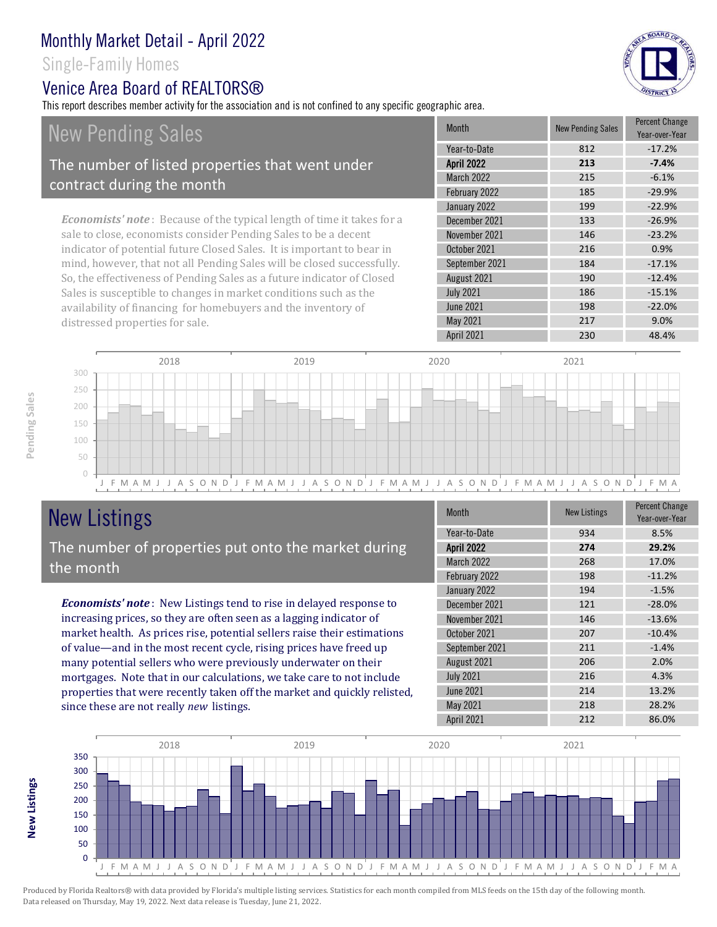Single-Family Homes

### Venice Area Board of REALTORS®

This report describes member activity for the association and is not confined to any specific geographic area.

BOARD OF

# *Economists' note* : Because of the typical length of time it takes for a New Pending Sales The number of listed properties that went under contract during the month

sale to close, economists consider Pending Sales to be a decent indicator of potential future Closed Sales. It is important to bear in mind, however, that not all Pending Sales will be closed successfully. So, the effectiveness of Pending Sales as a future indicator of Closed Sales is susceptible to changes in market conditions such as the availability of financing for homebuyers and the inventory of distressed properties for sale.

| <b>Month</b>      | <b>New Pending Sales</b> | <b>Percent Change</b><br>Year-over-Year |
|-------------------|--------------------------|-----------------------------------------|
| Year-to-Date      | 812                      | $-17.2%$                                |
| <b>April 2022</b> | 213                      | $-7.4%$                                 |
| <b>March 2022</b> | 215                      | $-6.1%$                                 |
| February 2022     | 185                      | $-29.9%$                                |
| January 2022      | 199                      | $-22.9%$                                |
| December 2021     | 133                      | $-26.9%$                                |
| November 2021     | 146                      | $-23.2%$                                |
| October 2021      | 216                      | 0.9%                                    |
| September 2021    | 184                      | $-17.1%$                                |
| August 2021       | 190                      | $-12.4%$                                |
| <b>July 2021</b>  | 186                      | $-15.1%$                                |
| <b>June 2021</b>  | 198                      | $-22.0%$                                |
| May 2021          | 217                      | 9.0%                                    |
| April 2021        | 230                      | 48.4%                                   |



# New Listings The number of properties put onto the market during

*Economists' note* : New Listings tend to rise in delayed response to increasing prices, so they are often seen as a lagging indicator of market health. As prices rise, potential sellers raise their estimations the month

of value—and in the most recent cycle, rising prices have freed up many potential sellers who were previously underwater on their mortgages. Note that in our calculations, we take care to not include properties that were recently taken off the market and quickly relisted, since these are not really *new* listings.

| Month             | <b>New Listings</b> | <b>Percent Change</b><br>Year-over-Year |
|-------------------|---------------------|-----------------------------------------|
| Year-to-Date      | 934                 | 8.5%                                    |
| <b>April 2022</b> | 274                 | 29.2%                                   |
| March 2022        | 268                 | 17.0%                                   |
| February 2022     | 198                 | $-11.2%$                                |
| January 2022      | 194                 | $-1.5%$                                 |
| December 2021     | 121                 | $-28.0%$                                |
| November 2021     | 146                 | $-13.6%$                                |
| October 2021      | 207                 | $-10.4%$                                |
| September 2021    | 211                 | $-1.4%$                                 |
| August 2021       | 206                 | 2.0%                                    |
| <b>July 2021</b>  | 216                 | 4.3%                                    |
| <b>June 2021</b>  | 214                 | 13.2%                                   |
| May 2021          | 218                 | 28.2%                                   |
| April 2021        | 212                 | 86.0%                                   |



**New Listings**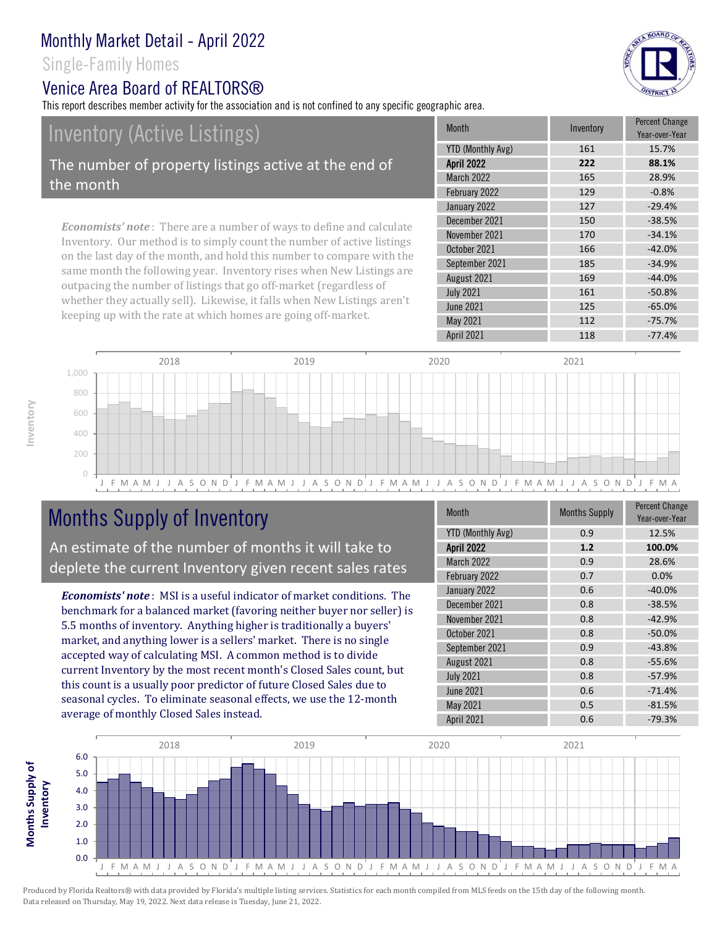### Single-Family Homes

### Venice Area Board of REALTORS®

This report describes member activity for the association and is not confined to any specific geographic area.

# Inventory (Active Listings)

The number of property listings active at the end of the month

*Economists' note* : There are a number of ways to define and calculate Inventory. Our method is to simply count the number of active listings on the last day of the month, and hold this number to compare with the same month the following year. Inventory rises when New Listings are outpacing the number of listings that go off-market (regardless of whether they actually sell). Likewise, it falls when New Listings aren't keeping up with the rate at which homes are going off-market.

| <b>Month</b>             | Inventory | <b>Percent Change</b><br>Year-over-Year |
|--------------------------|-----------|-----------------------------------------|
| <b>YTD (Monthly Avg)</b> | 161       | 15.7%                                   |
| <b>April 2022</b>        | 222       | 88.1%                                   |
| <b>March 2022</b>        | 165       | 28.9%                                   |
| February 2022            | 129       | $-0.8%$                                 |
| January 2022             | 127       | $-29.4%$                                |
| December 2021            | 150       | $-38.5%$                                |
| November 2021            | 170       | $-34.1%$                                |
| October 2021             | 166       | $-42.0%$                                |
| September 2021           | 185       | $-34.9%$                                |
| August 2021              | 169       | $-44.0%$                                |
| <b>July 2021</b>         | 161       | $-50.8%$                                |
| <b>June 2021</b>         | 125       | $-65.0%$                                |
| May 2021                 | 112       | $-75.7%$                                |
| April 2021               | 118       | $-77.4%$                                |
|                          |           |                                         |



# Months Supply of Inventory

An estimate of the number of months it will take to deplete the current Inventory given recent sales rates

*Economists' note* : MSI is a useful indicator of market conditions. The benchmark for a balanced market (favoring neither buyer nor seller) is 5.5 months of inventory. Anything higher is traditionally a buyers' market, and anything lower is a sellers' market. There is no single accepted way of calculating MSI. A common method is to divide current Inventory by the most recent month's Closed Sales count, but this count is a usually poor predictor of future Closed Sales due to seasonal cycles. To eliminate seasonal effects, we use the 12-month average of monthly Closed Sales instead.

| <b>Month</b>             | <b>Months Supply</b> | <b>Percent Change</b><br>Year-over-Year |
|--------------------------|----------------------|-----------------------------------------|
| <b>YTD (Monthly Avg)</b> | 0.9                  | 12.5%                                   |
| <b>April 2022</b>        | 1.2                  | 100.0%                                  |
| March 2022               | 0.9                  | 28.6%                                   |
| February 2022            | 0.7                  | 0.0%                                    |
| January 2022             | 0.6                  | $-40.0%$                                |
| December 2021            | 0.8                  | $-38.5%$                                |
| November 2021            | 0.8                  | $-42.9%$                                |
| October 2021             | 0.8                  | $-50.0%$                                |
| September 2021           | 0.9                  | $-43.8%$                                |
| August 2021              | 0.8                  | $-55.6%$                                |
| <b>July 2021</b>         | 0.8                  | $-57.9%$                                |
| <b>June 2021</b>         | 0.6                  | $-71.4%$                                |
| May 2021                 | 0.5                  | $-81.5%$                                |
| April 2021               | 0.6                  | $-79.3%$                                |



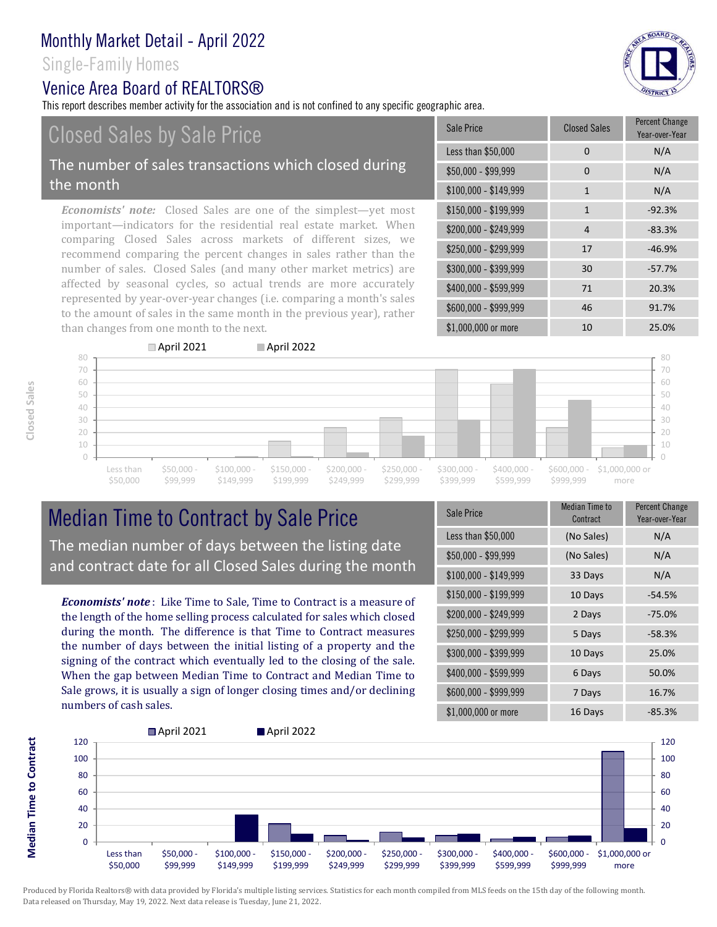### Single-Family Homes

### Venice Area Board of REALTORS®

This report describes member activity for the association and is not confined to any specific geographic area.

# Closed Sales by Sale Price

#### The number of sales transactions which closed during the month

*Economists' note:* Closed Sales are one of the simplest—yet most important—indicators for the residential real estate market. When comparing Closed Sales across markets of different sizes, we recommend comparing the percent changes in sales rather than the number of sales. Closed Sales (and many other market metrics) are affected by seasonal cycles, so actual trends are more accurately represented by year-over-year changes (i.e. comparing a month's sales to the amount of sales in the same month in the previous year), rather than changes from one month to the next.

April 2021 April 2022

| Sale Price            | <b>Closed Sales</b> | <b>Percent Change</b><br>Year-over-Year |
|-----------------------|---------------------|-----------------------------------------|
| Less than \$50,000    | 0                   | N/A                                     |
| $$50,000 - $99,999$   | 0                   | N/A                                     |
| $$100,000 - $149,999$ | 1                   | N/A                                     |
| \$150,000 - \$199,999 | $\mathbf{1}$        | $-92.3%$                                |
| \$200,000 - \$249,999 | 4                   | $-83.3%$                                |
| $$250,000 - $299,999$ | 17                  | $-46.9%$                                |
| \$300,000 - \$399,999 | 30                  | $-57.7%$                                |
| \$400,000 - \$599,999 | 71                  | 20.3%                                   |
| \$600,000 - \$999,999 | 46                  | 91.7%                                   |
| \$1,000,000 or more   | 10                  | 25.0%                                   |



## Median Time to Contract by Sale Price The median number of days between the listing date and contract date for all Closed Sales during the month

*Economists' note* : Like Time to Sale, Time to Contract is a measure of the length of the home selling process calculated for sales which closed during the month. The difference is that Time to Contract measures the number of days between the initial listing of a property and the signing of the contract which eventually led to the closing of the sale. When the gap between Median Time to Contract and Median Time to Sale grows, it is usually a sign of longer closing times and/or declining numbers of cash sales.

| Sale Price            | <b>Median Time to</b><br>Contract | <b>Percent Change</b><br>Year-over-Year |
|-----------------------|-----------------------------------|-----------------------------------------|
| Less than \$50,000    | (No Sales)                        | N/A                                     |
| \$50,000 - \$99,999   | (No Sales)                        | N/A                                     |
| $$100,000 - $149,999$ | 33 Days                           | N/A                                     |
| \$150,000 - \$199,999 | 10 Days                           | $-54.5%$                                |
| \$200,000 - \$249,999 | 2 Days                            | $-75.0%$                                |
| \$250,000 - \$299,999 | 5 Days                            | $-58.3%$                                |
| \$300,000 - \$399,999 | 10 Days                           | 25.0%                                   |
| \$400,000 - \$599,999 | 6 Days                            | 50.0%                                   |
| \$600,000 - \$999,999 | 7 Days                            | 16.7%                                   |
| \$1,000,000 or more   | 16 Days                           | $-85.3%$                                |



**Closed Sales**

Produced by Florida Realtors® with data provided by Florida's multiple listing services. Statistics for each month compiled from MLS feeds on the 15th day of the following month. Data released on Thursday, May 19, 2022. Next data release is Tuesday, June 21, 2022.

& BOARD OF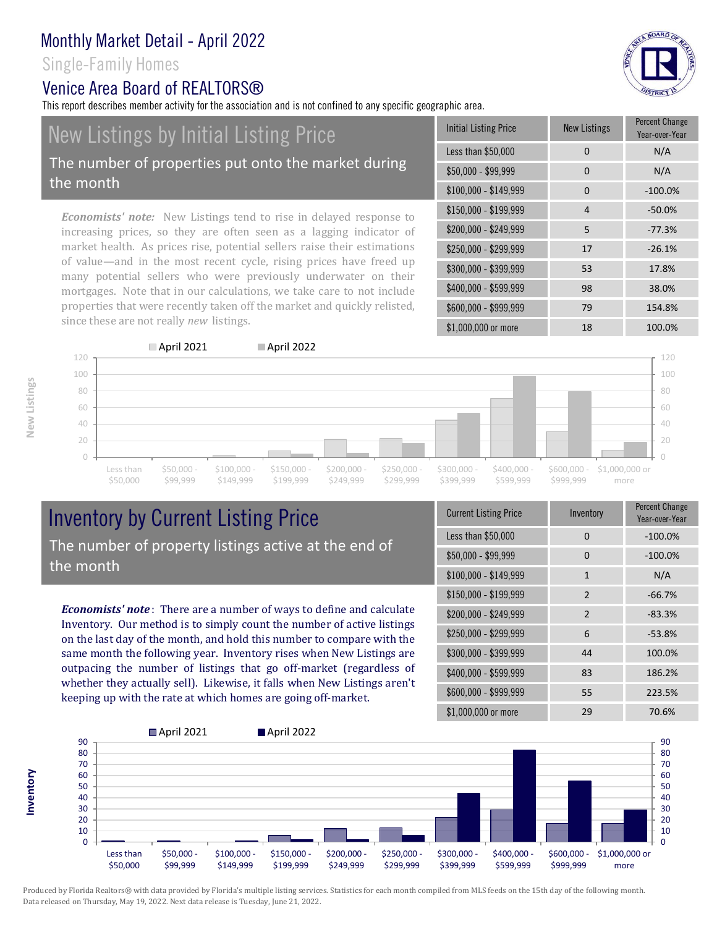### Single-Family Homes

the month

### Venice Area Board of REALTORS®

since these are not really *new* listings.

This report describes member activity for the association and is not confined to any specific geographic area.

mortgages. Note that in our calculations, we take care to not include properties that were recently taken off the market and quickly relisted,



**New Listings**

**Inventory**



## Inventory by Current Listing Price The number of property listings active at the end of the month

*Economists' note* : There are a number of ways to define and calculate Inventory. Our method is to simply count the number of active listings on the last day of the month, and hold this number to compare with the same month the following year. Inventory rises when New Listings are outpacing the number of listings that go off-market (regardless of whether they actually sell). Likewise, it falls when New Listings aren't keeping up with the rate at which homes are going off-market.

| <b>Current Listing Price</b> | Inventory      | Percent Change<br>Year-over-Year |
|------------------------------|----------------|----------------------------------|
| Less than \$50,000           | 0              | $-100.0%$                        |
| $$50,000 - $99,999$          | 0              | $-100.0%$                        |
| $$100,000 - $149,999$        | $\mathbf{1}$   | N/A                              |
| $$150,000 - $199,999$        | $\overline{2}$ | $-66.7%$                         |
| \$200,000 - \$249,999        | $\overline{2}$ | $-83.3%$                         |
| \$250,000 - \$299,999        | 6              | $-53.8%$                         |
| \$300,000 - \$399,999        | 44             | 100.0%                           |
| \$400,000 - \$599,999        | 83             | 186.2%                           |
| \$600,000 - \$999,999        | 55             | 223.5%                           |
| \$1,000,000 or more          | 29             | 70.6%                            |

\$600,000 - \$999,999 79 154.8% \$1,000,000 or more 18 100.0%

\$400,000 - \$599,999 98 38.0%